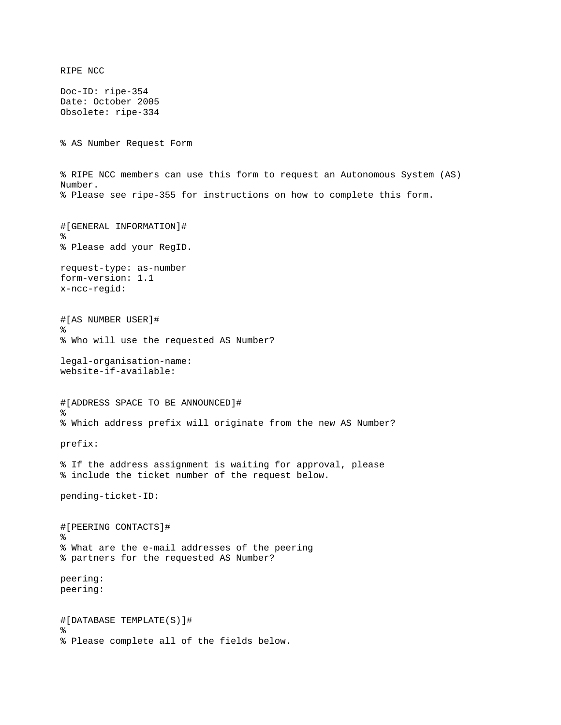RIPE NCC Doc-ID: ripe-354 Date: October 2005 Obsolete: ripe-334 % AS Number Request Form % RIPE NCC members can use this form to request an Autonomous System (AS) Number. % Please see ripe-355 for instructions on how to complete this form. #[GENERAL INFORMATION]# % % Please add your RegID. request-type: as-number form-version: 1.1 x-ncc-regid: #[AS NUMBER USER]# % % Who will use the requested AS Number? legal-organisation-name: website-if-available: #[ADDRESS SPACE TO BE ANNOUNCED]#  $\frac{6}{5}$ % Which address prefix will originate from the new AS Number? prefix: % If the address assignment is waiting for approval, please % include the ticket number of the request below. pending-ticket-ID: #[PEERING CONTACTS]# % % What are the e-mail addresses of the peering % partners for the requested AS Number? peering: peering: #[DATABASE TEMPLATE(S)]# % % Please complete all of the fields below.